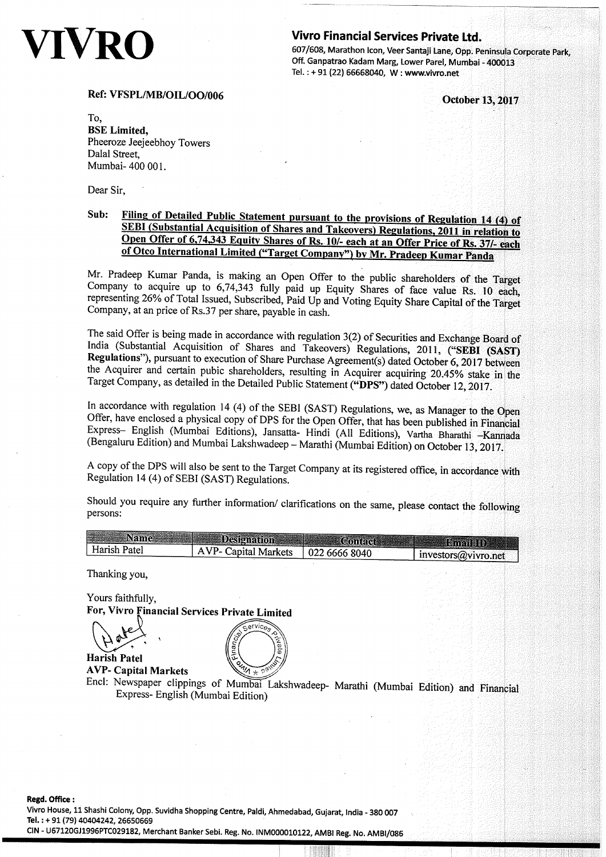# IVRO

# **Vivro Financial Services Private Ltd.**

607/608, Marathon Icon, Veer Santaji Lane, Opp. Peninsula Corporate Park, Off. Ganpatrao Kadam Marg, Lower Parel, Mumbai - 400013 Tel.: +91 (22) 66668040, W: www.vivro.net

October 13, 2017

# Ref: VFSPL/MB/OIL/OO/006

To. **BSE** Limited. Pheeroze Jeejeebhoy Towers Dalal Street. Mumbai-400 001.

Dear Sir,

# Filing of Detailed Public Statement pursuant to the provisions of Regulation 14 (4) of Sub: SEBI (Substantial Acquisition of Shares and Takeovers) Regulations, 2011 in relation to Open Offer of 6,74,343 Equity Shares of Rs. 10/- each at an Offer Price of Rs. 37/- each of Otco International Limited ("Target Company") by Mr. Pradeep Kumar Panda

Mr. Pradeep Kumar Panda, is making an Open Offer to the public shareholders of the Target Company to acquire up to 6,74,343 fully paid up Equity Shares of face value Rs. 10 each, representing 26% of Total Issued, Subscribed, Paid Up and Voting Equity Share Capital of the Target Company, at an price of Rs.37 per share, payable in cash.

The said Offer is being made in accordance with regulation 3(2) of Securities and Exchange Board of India (Substantial Acquisition of Shares and Takeovers) Regulations, 2011, ("SEBI (SAST) Regulations"), pursuant to execution of Share Purchase Agreement(s) dated October 6, 2017 between the Acquirer and certain pubic shareholders, resulting in Acquirer acquiring 20.45% stake in the Target Company, as detailed in the Detailed Public Statement ("DPS") dated October 12, 2017.

In accordance with regulation 14 (4) of the SEBI (SAST) Regulations, we, as Manager to the Open Offer, have enclosed a physical copy of DPS for the Open Offer, that has been published in Financial Express- English (Mumbai Editions), Jansatta- Hindi (All Editions), Vartha Bharathi - Kannada (Bengaluru Edition) and Mumbai Lakshwadeep - Marathi (Mumbai Edition) on October 13, 2017.

A copy of the DPS will also be sent to the Target Company at its registered office, in accordance with Regulation 14 (4) of SEBI (SAST) Regulations.

Should you require any further information/ clarifications on the same, please contact the following persons:

| <b>Name</b>  | <b>Designation</b>   | Contact       | <b>Bingil (10)</b>  |
|--------------|----------------------|---------------|---------------------|
| Harish Patel | AVP- Capital Markets | 022 6666 8040 | investors@vivro.net |
| ---          |                      |               |                     |

Thanking you,

Yours faithfully. For, Vivro Financial Services Private Limited

**Harish Patel** 

**AVP- Capital Markets** 



Encl: Newspaper clippings of Mumbai Lakshwadeep- Marathi (Mumbai Edition) and Financial Express- English (Mumbai Edition)

Vivro House, 11 Shashi Colony, Opp. Suvidha Shopping Centre, Paldi, Ahmedabad, Gujarat, India - 380 007 Tel.: + 91 (79) 40404242, 26650669

CIN - U67120GJ1996PTC029182, Merchant Banker Sebi. Reg. No. INM000010122, AMBI Reg. No. AMBI/086